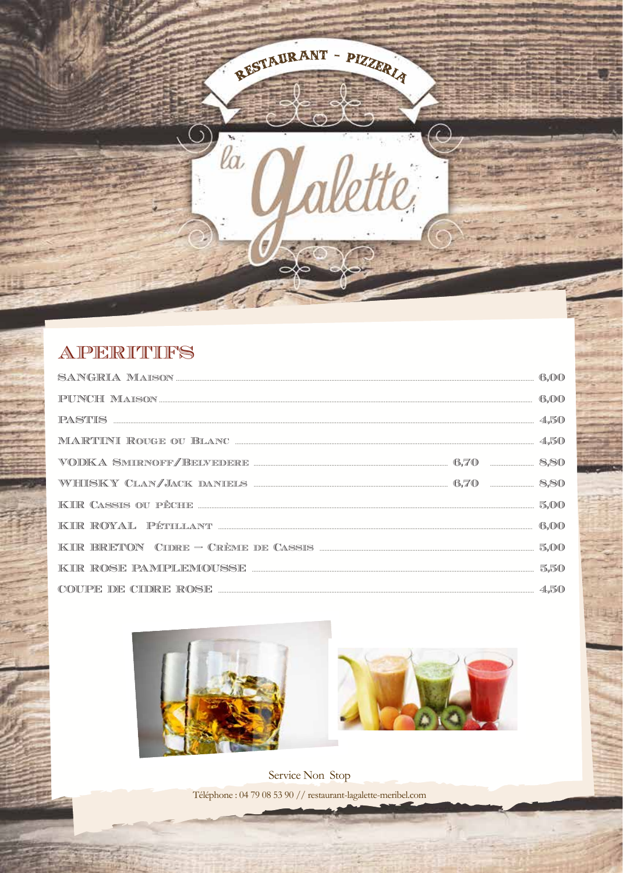APERITIFS

| COUPE DE CIDRE ROSE <b>EXAMPLE DE CIDRE</b> ROSE <b>EN ENSIDENT DE CIDRE</b> ROSE <b>EN ENSIDENT DE CIDRE</b> ROSE <b>EN ENSIDENT DE CIDRE</b> |  |  |
|------------------------------------------------------------------------------------------------------------------------------------------------|--|--|

RESTAURANT - PIZZERIA

Ċ

 $\mathcal{D}_{la}$ 

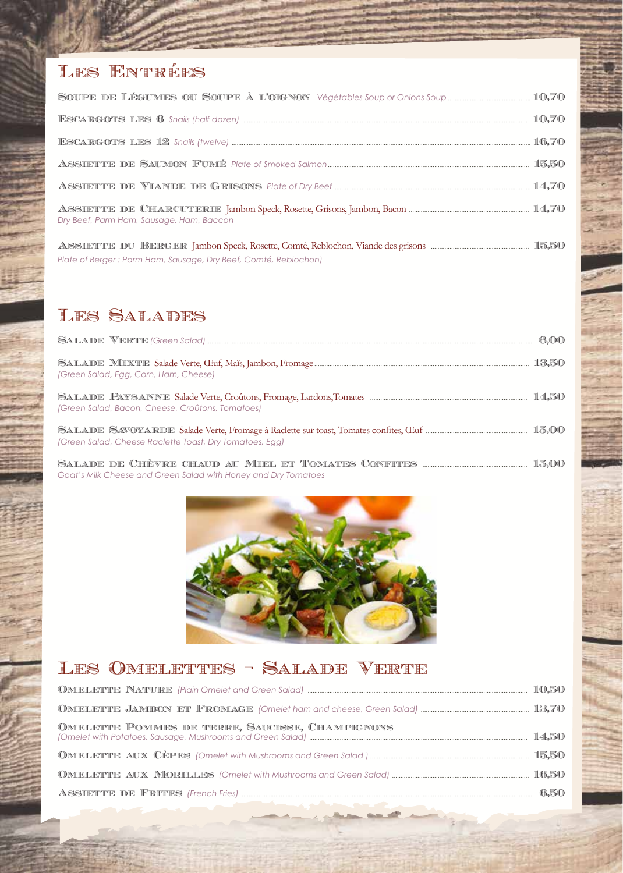#### Les Entrées

|                                                                 | 10.70 |
|-----------------------------------------------------------------|-------|
|                                                                 |       |
|                                                                 |       |
|                                                                 |       |
| Dry Beef, Parm Ham, Sausage, Ham, Baccon                        |       |
| Plate of Berger: Parm Ham, Sausage, Dry Beef, Comté, Reblochon) |       |

#### Les Salades

|                                                                | 6,00  |
|----------------------------------------------------------------|-------|
| (Green Salad, Egg, Corn, Ham, Cheese)                          | 13,50 |
| (Green Salad, Bacon, Cheese, Croûtons, Tomatoes)               |       |
| (Green Salad, Cheese Raclette Toast, Dry Tomatoes, Egg)        |       |
| Goat's Milk Cheese and Green Salad with Honey and Dry Tomatoes |       |



#### Les Omelettes - Salade Verte

| OMELETTE POMMES DE TERRE, SAUCISSE, CHAMPIGNONS |  |
|-------------------------------------------------|--|
|                                                 |  |
|                                                 |  |
|                                                 |  |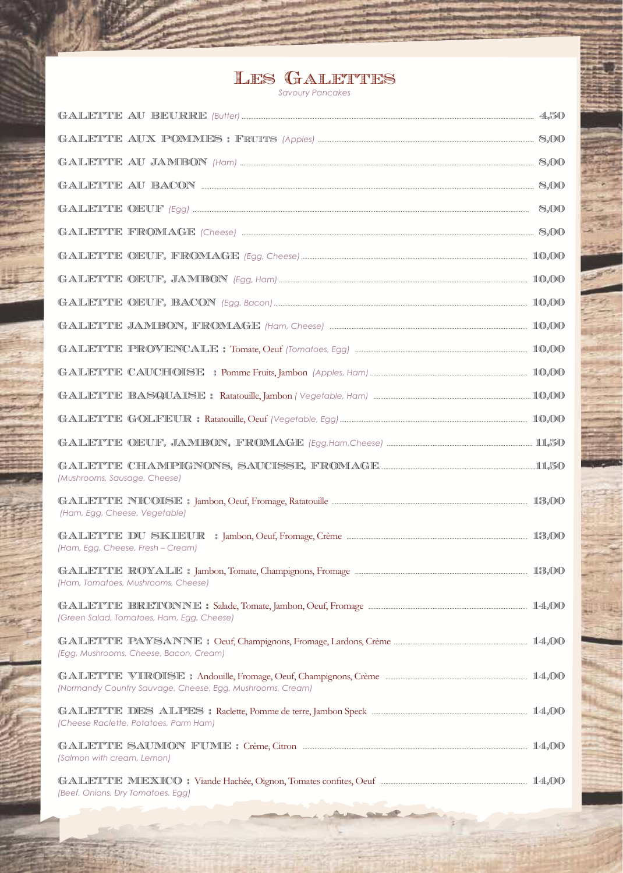# LES GALETTES

| (Mushrooms, Sausage, Cheese)                              |  |
|-----------------------------------------------------------|--|
| (Ham, Egg, Cheese, Vegetable)                             |  |
| (Ham, Egg, Cheese, Fresh - Cream)                         |  |
| (Ham, Tomatoes, Mushrooms, Cheese)                        |  |
| (Green Salad, Tomatoes, Ham, Egg, Cheese)                 |  |
| (Egg, Mushrooms, Cheese, Bacon, Cream)                    |  |
| (Normandy Country Sauvage, Cheese, Egg, Mushrooms, Cream) |  |
| (Cheese Raclette, Potatoes, Parm Ham)                     |  |
| (Salmon with cream, Lemon)                                |  |
| (Beef, Onions, Dry Tomatoes, Egg)                         |  |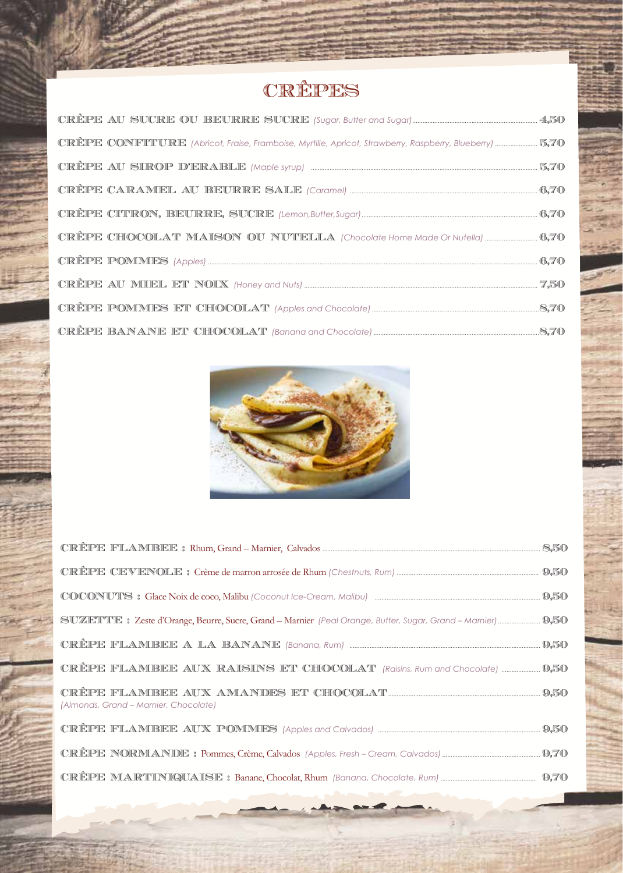## CRÊPES

| CRÊPE AU SIROP D'ERABLE (Maple syrup) manufacture and manufacture 5,70 |  |
|------------------------------------------------------------------------|--|
|                                                                        |  |
|                                                                        |  |
|                                                                        |  |
|                                                                        |  |
|                                                                        |  |
|                                                                        |  |
|                                                                        |  |



| (Almonds, Grand – Marnier, Chocolate) |  |
|---------------------------------------|--|
|                                       |  |
|                                       |  |
|                                       |  |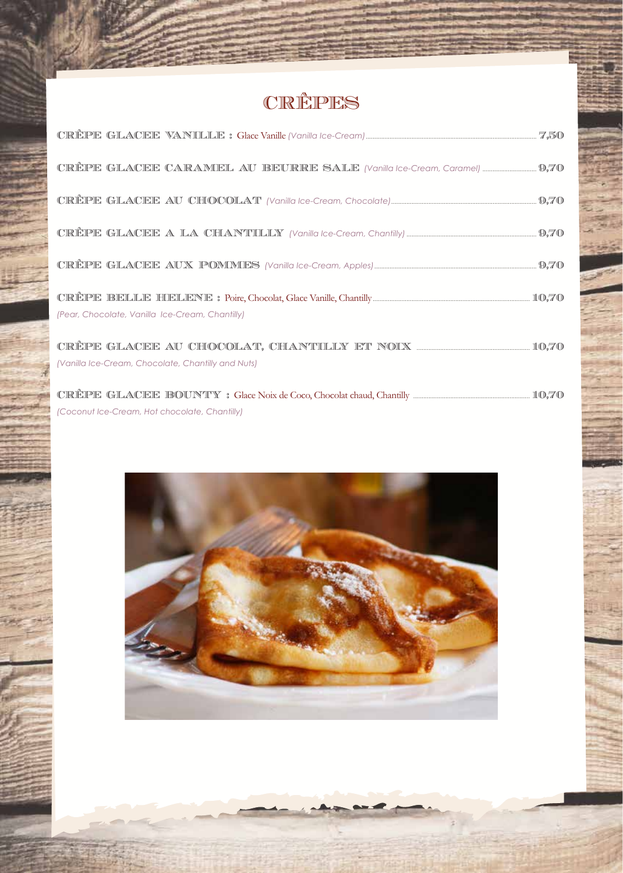## CRÊPES

| (Pear, Chocolate, Vanilla Ice-Cream, Chantilly)    |  |
|----------------------------------------------------|--|
| (Vanilla Ice-Cream, Chocolate, Chantilly and Nuts) |  |
| (Coconut Ice-Cream, Hot chocolate, Chantilly)      |  |

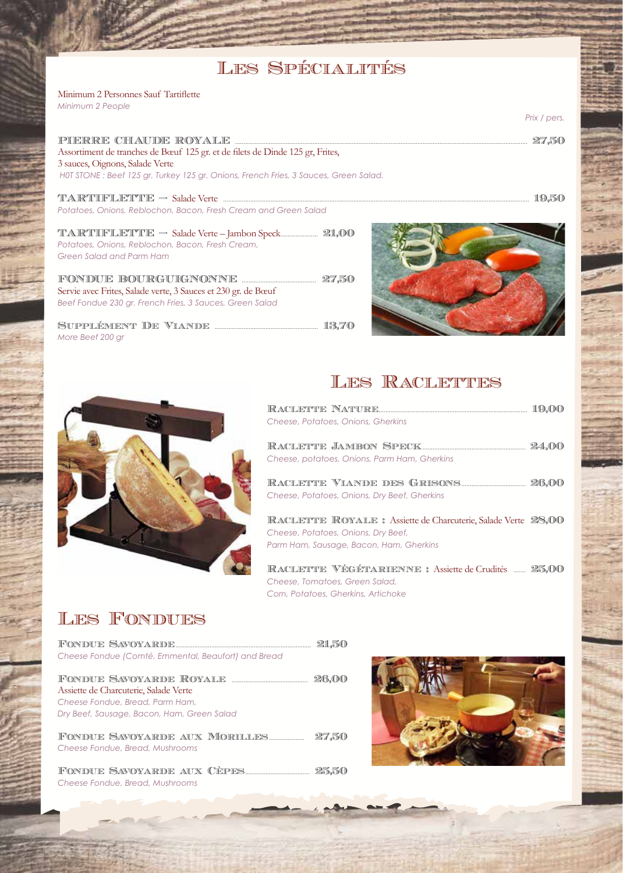#### Les Spécialités

Minimum 2 Personnes Sauf Tartiflette *Minimum 2 People*

PIERRE CHAUDE ROYALE ............................................................................................................................................................................. 27,50 Assortiment de tranches de Bœuf 125 gr. et de filets de Dinde 125 gr, Frites, 3 sauces, Oignons, Salade Verte  *H0T STONE : Beef 125 gr. Turkey 125 gr. Onions, French Fries, 3 Sauces, Green Salad.*

TARTIFLETTE – Salade Verte ..................................................................................................................................................................................... 19,50 *Potatoes, Onions, Reblochon, Bacon, Fresh Cream and Green Salad*

TARTIFLETTE – Salade Verte – Jambon Speck...................... 21,00 *Potatoes, Onions, Reblochon, Bacon, Fresh Cream, Green Salad and Parm Ham*

FONDUE BOURGUIGNONNE ............................................ 27,50 Servie avec Frites, Salade verte, 3 Sauces et 230 gr. de Bœuf *Beef Fondue 230 gr. French Fries, 3 Sauces, Green Salad*

Supplément De Viande ............................................................. 13,70 *More Beef 200 gr*





## LES RACLETTES

| Cheese, Potatoes, Onions, Gherkins                                                                                                                                                                                                                                                                                 |  |
|--------------------------------------------------------------------------------------------------------------------------------------------------------------------------------------------------------------------------------------------------------------------------------------------------------------------|--|
| Cheese, potatoes, Onions, Parm Ham, Gherkins                                                                                                                                                                                                                                                                       |  |
| Cheese, Potatoes, Onions, Dry Beef, Gherkins                                                                                                                                                                                                                                                                       |  |
| RACLETTE ROYALE : Assiette de Charcuterie, Salade Verte 28,000<br>Cheese, Potatoes, Onions, Dry Beef,<br>Parm Ham, Sausage, Bacon, Ham, Gherkins                                                                                                                                                                   |  |
| $\mathbb{F}_p$ , $\mathbb{F}_p$ and $\mathbb{F}_p$ is $\mathbb{F}_p$ in $\mathbb{F}_p$ . Then $\mathbb{F}_p$ is $\mathbb{F}_p$ is $\mathbb{F}_p$ if $\mathbb{F}_p$ is $\mathbb{F}_p$ if $\mathbb{F}_p$ is $\mathbb{F}_p$ if $\mathbb{F}_p$ is $\mathbb{F}_p$ if $\mathbb{F}_p$ is $\mathbb{F}_p$ if $\mathbb{F}_p$ |  |

RACLETTE VÉGÉTARIENNE : Assiette de Crudités ....... 25,000 *Cheese, Tomatoes, Green Salad, Corn, Potatoes, Gherkins, Artichoke*

#### Les Fondues

*Cheese Fondue, Bread, Mushrooms* 

| Cheese Fondue (Comté, Emmental, Beaufort) and Bread                                                                    |       |
|------------------------------------------------------------------------------------------------------------------------|-------|
| Assiette de Charcuterie, Salade Verte<br>Cheese Fondue, Bread, Parm Ham,<br>Dry Beef, Sausage, Bacon, Ham, Green Salad |       |
| FONDUE SAVOYARDE AUX MORILLES<br>Cheese Fondue, Bread, Mushrooms                                                       | 27.50 |
|                                                                                                                        |       |

Fondue Savoyarde................................................................................ 21,50



*Prix / pers.*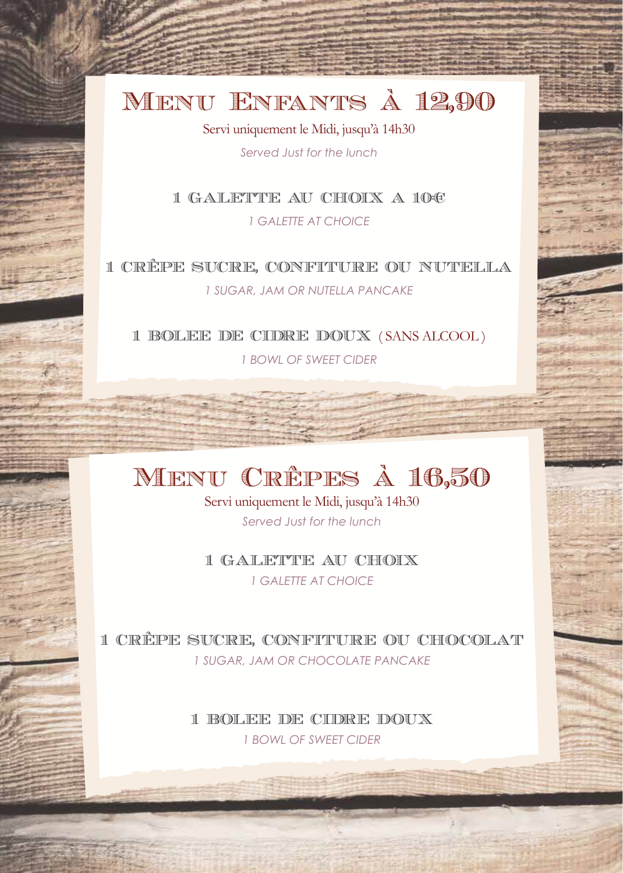## Menu Enfants à 12,90

Servi uniquement le Midi, jusqu'à 14h30

*Served Just for the lunch*

1 GALETTE AU CHOIX A 10€

*1 GALETTE AT CHOICE*

1 CRÊPE SUCRE, CONFITURE OU NUTELLA *1 SUGAR, JAM OR NUTELLA PANCAKE*

1 BOLEE DE CIDRE DOUX ( SANS ALCOOL ) *1 BOWL OF SWEET CIDER*

## Menu Crêpes à 16,50

Servi uniquement le Midi, jusqu'à 14h30 *Served Just for the lunch*

1 GALETTE AU CHOIX *1 GALETTE AT CHOICE*

1 CRÊPE SUCRE, CONFITURE OU CHOCOLAT *1 SUGAR, JAM OR CHOCOLATE PANCAKE*

> 1 BOLEE DE CIDRE DOUX *1 BOWL OF SWEET CIDER*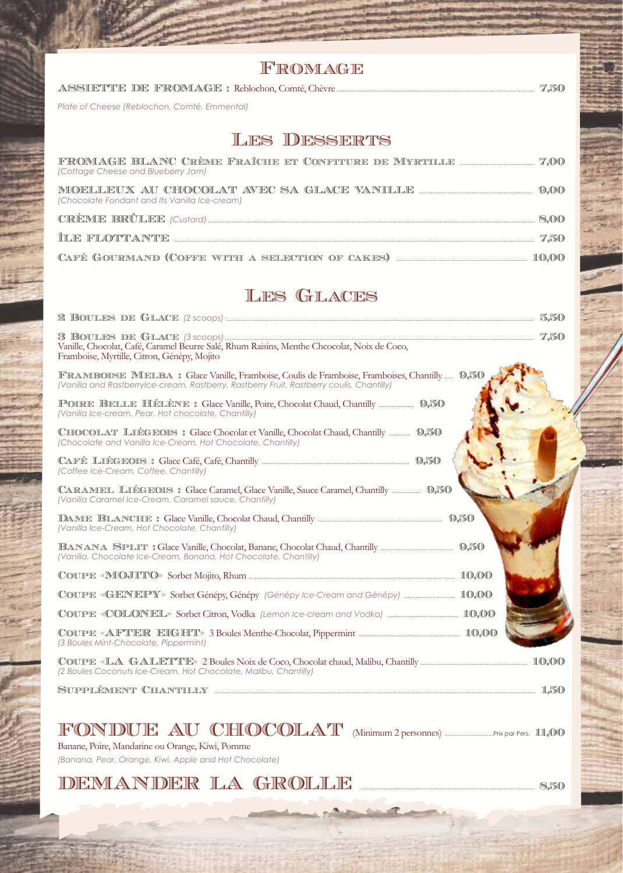| FROMAGE                                                                                                                                                                                   |       |
|-------------------------------------------------------------------------------------------------------------------------------------------------------------------------------------------|-------|
|                                                                                                                                                                                           |       |
| Plate of Cheese (Reblochon, Comté, Emmental)                                                                                                                                              |       |
|                                                                                                                                                                                           |       |
| <b>LES DESSERTS</b>                                                                                                                                                                       |       |
| (Cottage Cheese and Blueberry Jam)                                                                                                                                                        |       |
| (Chocolate Fondant and Its Vanilla Ice-cream)                                                                                                                                             |       |
|                                                                                                                                                                                           |       |
|                                                                                                                                                                                           |       |
|                                                                                                                                                                                           |       |
| <b>LES GLACES</b>                                                                                                                                                                         |       |
|                                                                                                                                                                                           |       |
| Vanille, Chocolat, Café, Caramel Beurre Salé, Rhum Raisins, Menthe Chcocolat, Noix de Coco,<br>Framboise, Myrtille, Citron, Génépy, Mojito                                                |       |
| FRAMBOISE MELBA : Glace Vanille, Framboise, Coulis de Framboise, Framboises, Chantilly  9,50<br>(Vanilla and Rastberrylce-cream, Rastberry, Rastberry Fruit, Rastberry coulis, Chantilly) |       |
| (Vanilla Ice-cream, Pear, Hot chocolate, Chantilly)                                                                                                                                       |       |
| CHOCOLAT LIÉGEOIS : Glace Chocolat et Vanille, Chocolat Chaud, Chantilly  9,50<br>(Chocolate and Vanilla Ice-Cream, Hot Chocolate, Chantilly)                                             |       |
| (Coffee Ice-Cream, Coffee, Chantilly)                                                                                                                                                     |       |
| CARAMEL LIÉGEOIS : Glace Caramel, Glace Vanille, Sauce Caramel, Chantilly  9,50<br>(Vanilla Caramel Ice-Cream, Caramel sauce, Chantilly)                                                  |       |
| (Vanilla Ice-Cream, Hot Chocolate, Chantilly)                                                                                                                                             |       |
| (Vanilla, Chocolate Ice-Cream, Banana, Hot Chocolate, Chantilly)                                                                                                                          |       |
|                                                                                                                                                                                           | 10.00 |
| COUPE «GENEPY» Sorbet Génépy, Génépy (Génépy Ice-Cream and Génépy)  10,00                                                                                                                 |       |
|                                                                                                                                                                                           |       |
| (3 Boules Mint-Chocolate, Pippermint)                                                                                                                                                     |       |

Coupe «LA GALETTE» 2 Boules Noix de Coco, Chocolat chaud, Malibu, Chantilly ............................................................... 10,00 *(2 Boules Coconuts Ice-Cream, Hot Chocolate, Malibu, Chantilly)*

Supplément Chantilly .............................................................................................................................................................................................. 1,50

### FONDUE AU CHOCOLAT (Minimum 2 personnes) .............................Prix par Pers. 11,00

Banane, Poire, Mandarine ou Orange, Kiwi, Pomme *(Banana, Pear, Orange, Kiwi, Apple and Hot Chocolate)*

#### DEMANDER LA GROLLE ...................................................................................................... 8,50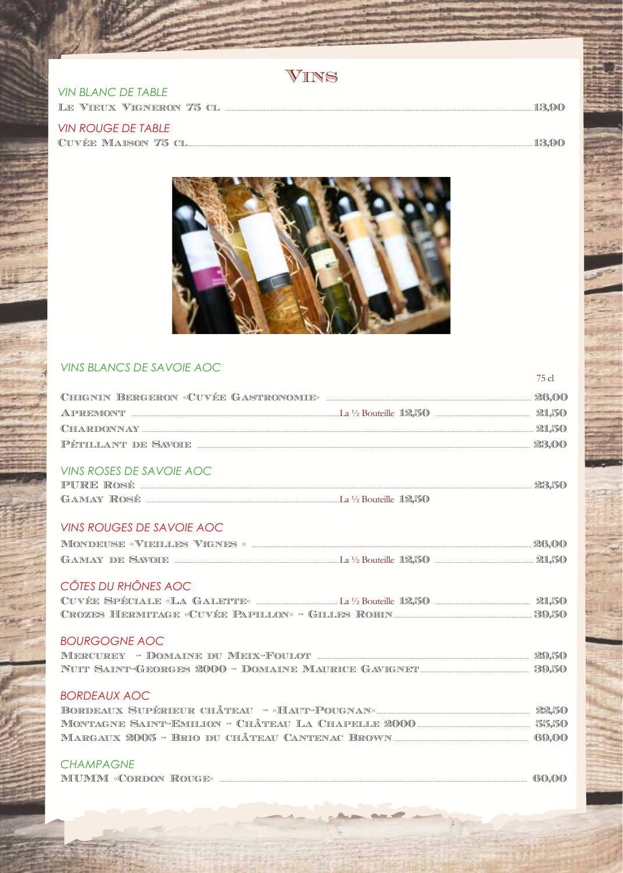**VIN BLANC DE TABLE** 

**VIN ROUGE DE TABLE** 



#### **VINS BLANCS DE SAVOIE AOC**

| APREMONT <b>Example 21,50</b> APREMONT <b>EXAMPLE 22,50</b> |  |
|-------------------------------------------------------------|--|
|                                                             |  |
|                                                             |  |
| <b>VINS ROSES DE SAVOIE AOC</b>                             |  |
|                                                             |  |
|                                                             |  |
| <b>VINS ROUGES DE SAVOIE AOC</b>                            |  |
|                                                             |  |
|                                                             |  |
| CÔTES DU RHÔNES AOC                                         |  |
|                                                             |  |
|                                                             |  |
| <b>BOURGOGNE AOC</b>                                        |  |
|                                                             |  |
|                                                             |  |
| <b>BORDEAUX AOC</b>                                         |  |
|                                                             |  |
|                                                             |  |
|                                                             |  |
| <b>CHAMPAGNE</b>                                            |  |
|                                                             |  |

...13,90

...13,90

75 cl